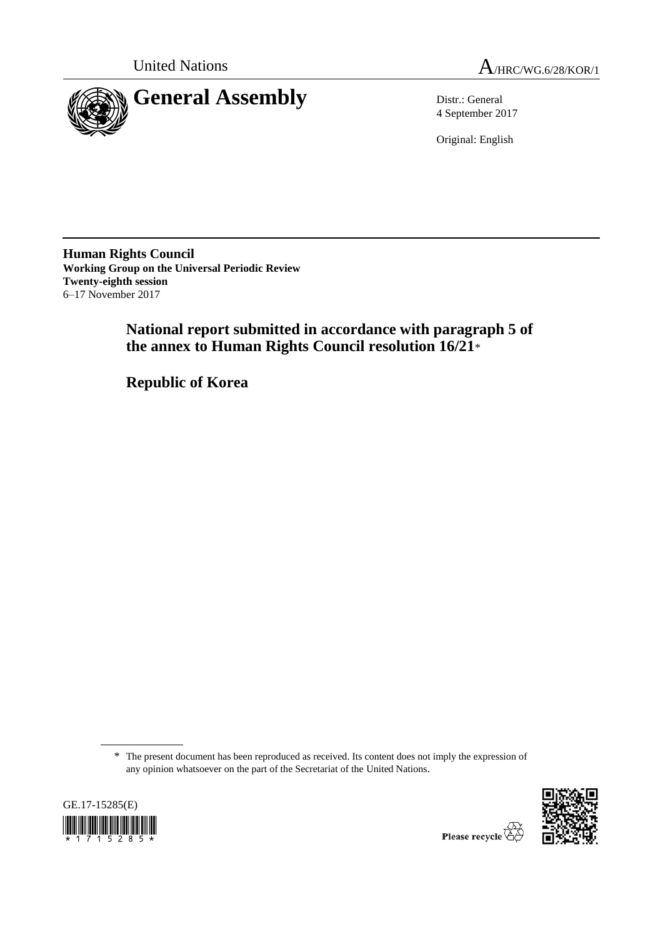United Nations  $A_{HRC/WG.6/28/KOR/1}$ 



4 September 2017

Original: English

**Human Rights Council Working Group on the Universal Periodic Review Twenty-eighth session** 6–17 November 2017

> **National report submitted in accordance with paragraph 5 of the annex to Human Rights Council resolution 16/21**\*

**Republic of Korea**

\* The present document has been reproduced as received. Its content does not imply the expression of any opinion whatsoever on the part of the Secretariat of the United Nations.



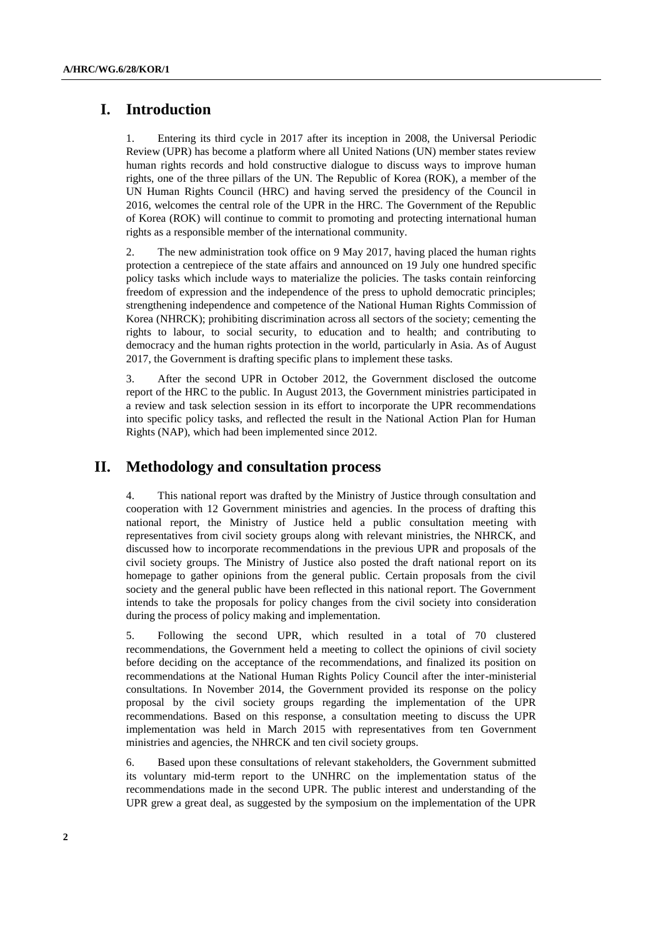## **I. Introduction**

1. Entering its third cycle in 2017 after its inception in 2008, the Universal Periodic Review (UPR) has become a platform where all United Nations (UN) member states review human rights records and hold constructive dialogue to discuss ways to improve human rights, one of the three pillars of the UN. The Republic of Korea (ROK), a member of the UN Human Rights Council (HRC) and having served the presidency of the Council in 2016, welcomes the central role of the UPR in the HRC. The Government of the Republic of Korea (ROK) will continue to commit to promoting and protecting international human rights as a responsible member of the international community.

2. The new administration took office on 9 May 2017, having placed the human rights protection a centrepiece of the state affairs and announced on 19 July one hundred specific policy tasks which include ways to materialize the policies. The tasks contain reinforcing freedom of expression and the independence of the press to uphold democratic principles; strengthening independence and competence of the National Human Rights Commission of Korea (NHRCK); prohibiting discrimination across all sectors of the society; cementing the rights to labour, to social security, to education and to health; and contributing to democracy and the human rights protection in the world, particularly in Asia. As of August 2017, the Government is drafting specific plans to implement these tasks.

3. After the second UPR in October 2012, the Government disclosed the outcome report of the HRC to the public. In August 2013, the Government ministries participated in a review and task selection session in its effort to incorporate the UPR recommendations into specific policy tasks, and reflected the result in the National Action Plan for Human Rights (NAP), which had been implemented since 2012.

## **II. Methodology and consultation process**

4. This national report was drafted by the Ministry of Justice through consultation and cooperation with 12 Government ministries and agencies. In the process of drafting this national report, the Ministry of Justice held a public consultation meeting with representatives from civil society groups along with relevant ministries, the NHRCK, and discussed how to incorporate recommendations in the previous UPR and proposals of the civil society groups. The Ministry of Justice also posted the draft national report on its homepage to gather opinions from the general public. Certain proposals from the civil society and the general public have been reflected in this national report. The Government intends to take the proposals for policy changes from the civil society into consideration during the process of policy making and implementation.

5. Following the second UPR, which resulted in a total of 70 clustered recommendations, the Government held a meeting to collect the opinions of civil society before deciding on the acceptance of the recommendations, and finalized its position on recommendations at the National Human Rights Policy Council after the inter-ministerial consultations. In November 2014, the Government provided its response on the policy proposal by the civil society groups regarding the implementation of the UPR recommendations. Based on this response, a consultation meeting to discuss the UPR implementation was held in March 2015 with representatives from ten Government ministries and agencies, the NHRCK and ten civil society groups.

6. Based upon these consultations of relevant stakeholders, the Government submitted its voluntary mid-term report to the UNHRC on the implementation status of the recommendations made in the second UPR. The public interest and understanding of the UPR grew a great deal, as suggested by the symposium on the implementation of the UPR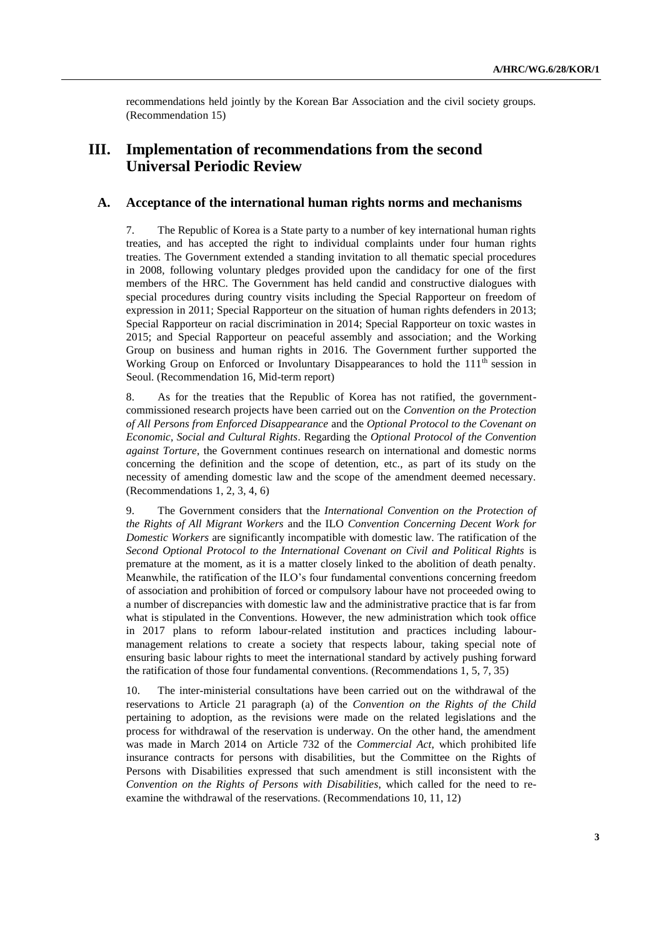recommendations held jointly by the Korean Bar Association and the civil society groups. (Recommendation 15)

# **III. Implementation of recommendations from the second Universal Periodic Review**

### **A. Acceptance of the international human rights norms and mechanisms**

7. The Republic of Korea is a State party to a number of key international human rights treaties, and has accepted the right to individual complaints under four human rights treaties. The Government extended a standing invitation to all thematic special procedures in 2008, following voluntary pledges provided upon the candidacy for one of the first members of the HRC. The Government has held candid and constructive dialogues with special procedures during country visits including the Special Rapporteur on freedom of expression in 2011; Special Rapporteur on the situation of human rights defenders in 2013; Special Rapporteur on racial discrimination in 2014; Special Rapporteur on toxic wastes in 2015; and Special Rapporteur on peaceful assembly and association; and the Working Group on business and human rights in 2016. The Government further supported the Working Group on Enforced or Involuntary Disappearances to hold the 111<sup>th</sup> session in Seoul. (Recommendation 16, Mid-term report)

8. As for the treaties that the Republic of Korea has not ratified, the governmentcommissioned research projects have been carried out on the *Convention on the Protection of All Persons from Enforced Disappearance* and the *Optional Protocol to the Covenant on Economic, Social and Cultural Rights*. Regarding the *Optional Protocol of the Convention against Torture*, the Government continues research on international and domestic norms concerning the definition and the scope of detention, etc., as part of its study on the necessity of amending domestic law and the scope of the amendment deemed necessary. (Recommendations 1, 2, 3, 4, 6)

9. The Government considers that the *International Convention on the Protection of the Rights of All Migrant Workers* and the ILO *Convention Concerning Decent Work for Domestic Workers* are significantly incompatible with domestic law. The ratification of the *Second Optional Protocol to the International Covenant on Civil and Political Rights* is premature at the moment, as it is a matter closely linked to the abolition of death penalty. Meanwhile, the ratification of the ILO's four fundamental conventions concerning freedom of association and prohibition of forced or compulsory labour have not proceeded owing to a number of discrepancies with domestic law and the administrative practice that is far from what is stipulated in the Conventions. However, the new administration which took office in 2017 plans to reform labour-related institution and practices including labourmanagement relations to create a society that respects labour, taking special note of ensuring basic labour rights to meet the international standard by actively pushing forward the ratification of those four fundamental conventions. (Recommendations 1, 5, 7, 35)

10. The inter-ministerial consultations have been carried out on the withdrawal of the reservations to Article 21 paragraph (a) of the *Convention on the Rights of the Child* pertaining to adoption, as the revisions were made on the related legislations and the process for withdrawal of the reservation is underway. On the other hand, the amendment was made in March 2014 on Article 732 of the *Commercial Act*, which prohibited life insurance contracts for persons with disabilities, but the Committee on the Rights of Persons with Disabilities expressed that such amendment is still inconsistent with the *Convention on the Rights of Persons with Disabilities*, which called for the need to reexamine the withdrawal of the reservations. (Recommendations 10, 11, 12)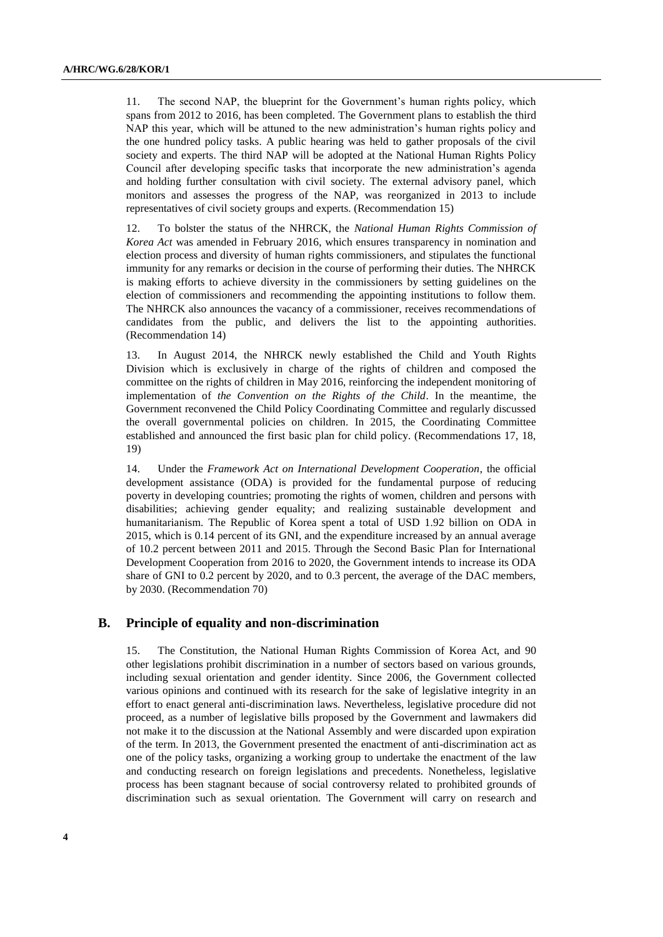11. The second NAP, the blueprint for the Government's human rights policy, which spans from 2012 to 2016, has been completed. The Government plans to establish the third NAP this year, which will be attuned to the new administration's human rights policy and the one hundred policy tasks. A public hearing was held to gather proposals of the civil society and experts. The third NAP will be adopted at the National Human Rights Policy Council after developing specific tasks that incorporate the new administration's agenda and holding further consultation with civil society. The external advisory panel, which monitors and assesses the progress of the NAP, was reorganized in 2013 to include representatives of civil society groups and experts. (Recommendation 15)

12. To bolster the status of the NHRCK, the *National Human Rights Commission of Korea Act* was amended in February 2016, which ensures transparency in nomination and election process and diversity of human rights commissioners, and stipulates the functional immunity for any remarks or decision in the course of performing their duties. The NHRCK is making efforts to achieve diversity in the commissioners by setting guidelines on the election of commissioners and recommending the appointing institutions to follow them. The NHRCK also announces the vacancy of a commissioner, receives recommendations of candidates from the public, and delivers the list to the appointing authorities. (Recommendation 14)

13. In August 2014, the NHRCK newly established the Child and Youth Rights Division which is exclusively in charge of the rights of children and composed the committee on the rights of children in May 2016, reinforcing the independent monitoring of implementation of *the Convention on the Rights of the Child*. In the meantime, the Government reconvened the Child Policy Coordinating Committee and regularly discussed the overall governmental policies on children. In 2015, the Coordinating Committee established and announced the first basic plan for child policy. (Recommendations 17, 18, 19)

14. Under the *Framework Act on International Development Cooperation*, the official development assistance (ODA) is provided for the fundamental purpose of reducing poverty in developing countries; promoting the rights of women, children and persons with disabilities; achieving gender equality; and realizing sustainable development and humanitarianism. The Republic of Korea spent a total of USD 1.92 billion on ODA in 2015, which is 0.14 percent of its GNI, and the expenditure increased by an annual average of 10.2 percent between 2011 and 2015. Through the Second Basic Plan for International Development Cooperation from 2016 to 2020, the Government intends to increase its ODA share of GNI to 0.2 percent by 2020, and to 0.3 percent, the average of the DAC members, by 2030. (Recommendation 70)

#### **B. Principle of equality and non-discrimination**

15. The Constitution, the National Human Rights Commission of Korea Act, and 90 other legislations prohibit discrimination in a number of sectors based on various grounds, including sexual orientation and gender identity. Since 2006, the Government collected various opinions and continued with its research for the sake of legislative integrity in an effort to enact general anti-discrimination laws. Nevertheless, legislative procedure did not proceed, as a number of legislative bills proposed by the Government and lawmakers did not make it to the discussion at the National Assembly and were discarded upon expiration of the term. In 2013, the Government presented the enactment of anti-discrimination act as one of the policy tasks, organizing a working group to undertake the enactment of the law and conducting research on foreign legislations and precedents. Nonetheless, legislative process has been stagnant because of social controversy related to prohibited grounds of discrimination such as sexual orientation. The Government will carry on research and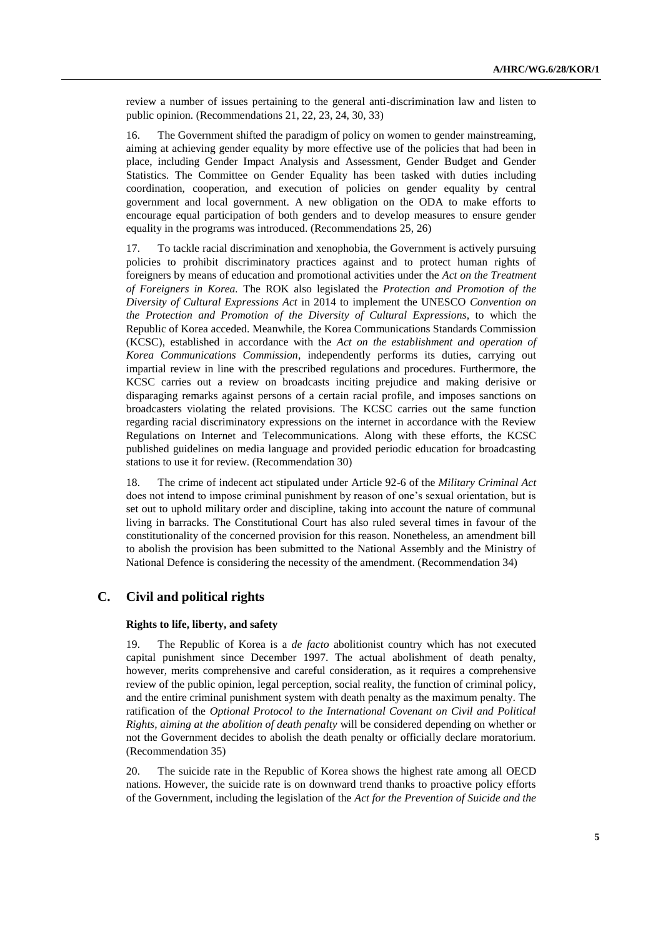review a number of issues pertaining to the general anti-discrimination law and listen to public opinion. (Recommendations 21, 22, 23, 24, 30, 33)

16. The Government shifted the paradigm of policy on women to gender mainstreaming, aiming at achieving gender equality by more effective use of the policies that had been in place, including Gender Impact Analysis and Assessment, Gender Budget and Gender Statistics. The Committee on Gender Equality has been tasked with duties including coordination, cooperation, and execution of policies on gender equality by central government and local government. A new obligation on the ODA to make efforts to encourage equal participation of both genders and to develop measures to ensure gender equality in the programs was introduced. (Recommendations 25, 26)

17. To tackle racial discrimination and xenophobia, the Government is actively pursuing policies to prohibit discriminatory practices against and to protect human rights of foreigners by means of education and promotional activities under the *Act on the Treatment of Foreigners in Korea.* The ROK also legislated the *Protection and Promotion of the Diversity of Cultural Expressions Act* in 2014 to implement the UNESCO *Convention on the Protection and Promotion of the Diversity of Cultural Expressions*, to which the Republic of Korea acceded. Meanwhile, the Korea Communications Standards Commission (KCSC), established in accordance with the *Act on the establishment and operation of Korea Communications Commission*, independently performs its duties, carrying out impartial review in line with the prescribed regulations and procedures. Furthermore, the KCSC carries out a review on broadcasts inciting prejudice and making derisive or disparaging remarks against persons of a certain racial profile, and imposes sanctions on broadcasters violating the related provisions. The KCSC carries out the same function regarding racial discriminatory expressions on the internet in accordance with the Review Regulations on Internet and Telecommunications. Along with these efforts, the KCSC published guidelines on media language and provided periodic education for broadcasting stations to use it for review. (Recommendation 30)

18. The crime of indecent act stipulated under Article 92-6 of the *Military Criminal Act* does not intend to impose criminal punishment by reason of one's sexual orientation, but is set out to uphold military order and discipline, taking into account the nature of communal living in barracks. The Constitutional Court has also ruled several times in favour of the constitutionality of the concerned provision for this reason. Nonetheless, an amendment bill to abolish the provision has been submitted to the National Assembly and the Ministry of National Defence is considering the necessity of the amendment. (Recommendation 34)

### **C. Civil and political rights**

#### **Rights to life, liberty, and safety**

19. The Republic of Korea is a *de facto* abolitionist country which has not executed capital punishment since December 1997. The actual abolishment of death penalty, however, merits comprehensive and careful consideration, as it requires a comprehensive review of the public opinion, legal perception, social reality, the function of criminal policy, and the entire criminal punishment system with death penalty as the maximum penalty. The ratification of the *Optional Protocol to the International Covenant on Civil and Political Rights, aiming at the abolition of death penalty* will be considered depending on whether or not the Government decides to abolish the death penalty or officially declare moratorium. (Recommendation 35)

20. The suicide rate in the Republic of Korea shows the highest rate among all OECD nations. However, the suicide rate is on downward trend thanks to proactive policy efforts of the Government, including the legislation of the *Act for the Prevention of Suicide and the*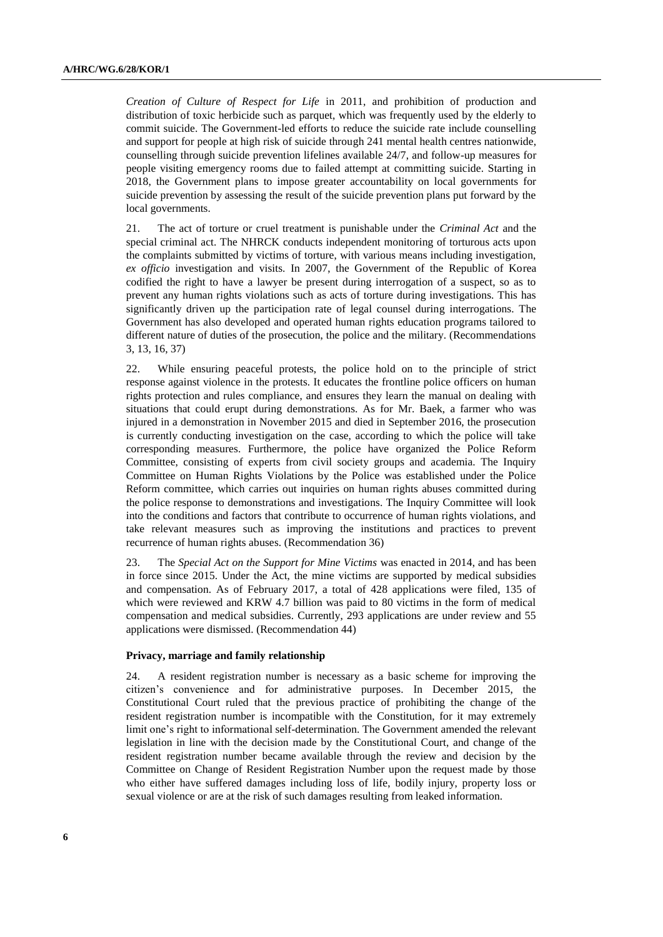*Creation of Culture of Respect for Life* in 2011, and prohibition of production and distribution of toxic herbicide such as parquet, which was frequently used by the elderly to commit suicide. The Government-led efforts to reduce the suicide rate include counselling and support for people at high risk of suicide through 241 mental health centres nationwide, counselling through suicide prevention lifelines available 24/7, and follow-up measures for people visiting emergency rooms due to failed attempt at committing suicide. Starting in 2018, the Government plans to impose greater accountability on local governments for suicide prevention by assessing the result of the suicide prevention plans put forward by the local governments.

21. The act of torture or cruel treatment is punishable under the *Criminal Act* and the special criminal act. The NHRCK conducts independent monitoring of torturous acts upon the complaints submitted by victims of torture, with various means including investigation, *ex officio* investigation and visits. In 2007, the Government of the Republic of Korea codified the right to have a lawyer be present during interrogation of a suspect, so as to prevent any human rights violations such as acts of torture during investigations. This has significantly driven up the participation rate of legal counsel during interrogations. The Government has also developed and operated human rights education programs tailored to different nature of duties of the prosecution, the police and the military. (Recommendations 3, 13, 16, 37)

22. While ensuring peaceful protests, the police hold on to the principle of strict response against violence in the protests. It educates the frontline police officers on human rights protection and rules compliance, and ensures they learn the manual on dealing with situations that could erupt during demonstrations. As for Mr. Baek, a farmer who was injured in a demonstration in November 2015 and died in September 2016, the prosecution is currently conducting investigation on the case, according to which the police will take corresponding measures. Furthermore, the police have organized the Police Reform Committee, consisting of experts from civil society groups and academia. The Inquiry Committee on Human Rights Violations by the Police was established under the Police Reform committee, which carries out inquiries on human rights abuses committed during the police response to demonstrations and investigations. The Inquiry Committee will look into the conditions and factors that contribute to occurrence of human rights violations, and take relevant measures such as improving the institutions and practices to prevent recurrence of human rights abuses. (Recommendation 36)

23. The *Special Act on the Support for Mine Victims* was enacted in 2014, and has been in force since 2015. Under the Act, the mine victims are supported by medical subsidies and compensation. As of February 2017, a total of 428 applications were filed, 135 of which were reviewed and KRW 4.7 billion was paid to 80 victims in the form of medical compensation and medical subsidies. Currently, 293 applications are under review and 55 applications were dismissed. (Recommendation 44)

#### **Privacy, marriage and family relationship**

24. A resident registration number is necessary as a basic scheme for improving the citizen's convenience and for administrative purposes. In December 2015, the Constitutional Court ruled that the previous practice of prohibiting the change of the resident registration number is incompatible with the Constitution, for it may extremely limit one's right to informational self-determination. The Government amended the relevant legislation in line with the decision made by the Constitutional Court, and change of the resident registration number became available through the review and decision by the Committee on Change of Resident Registration Number upon the request made by those who either have suffered damages including loss of life, bodily injury, property loss or sexual violence or are at the risk of such damages resulting from leaked information.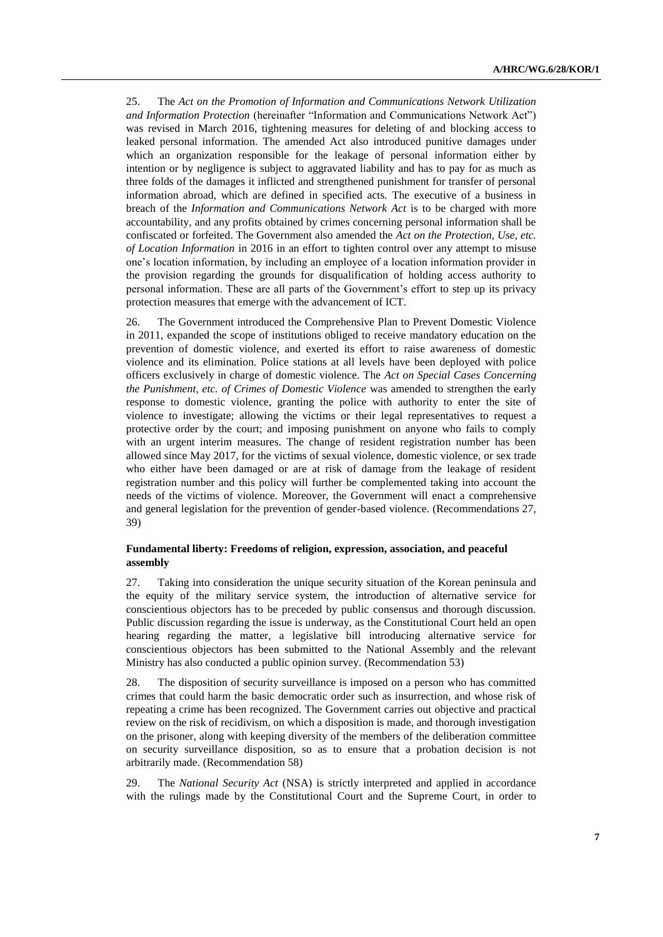25. The *Act on the Promotion of Information and Communications Network Utilization and Information Protection* (hereinafter "Information and Communications Network Act") was revised in March 2016, tightening measures for deleting of and blocking access to leaked personal information. The amended Act also introduced punitive damages under which an organization responsible for the leakage of personal information either by intention or by negligence is subject to aggravated liability and has to pay for as much as three folds of the damages it inflicted and strengthened punishment for transfer of personal information abroad, which are defined in specified acts. The executive of a business in breach of the *Information and Communications Network Act* is to be charged with more accountability, and any profits obtained by crimes concerning personal information shall be confiscated or forfeited. The Government also amended the *Act on the Protection, Use, etc. of Location Information* in 2016 in an effort to tighten control over any attempt to misuse one's location information, by including an employee of a location information provider in the provision regarding the grounds for disqualification of holding access authority to personal information. These are all parts of the Government's effort to step up its privacy protection measures that emerge with the advancement of ICT.

26. The Government introduced the Comprehensive Plan to Prevent Domestic Violence in 2011, expanded the scope of institutions obliged to receive mandatory education on the prevention of domestic violence, and exerted its effort to raise awareness of domestic violence and its elimination. Police stations at all levels have been deployed with police officers exclusively in charge of domestic violence. The *Act on Special Cases Concerning the Punishment, etc. of Crimes of Domestic Violence* was amended to strengthen the early response to domestic violence, granting the police with authority to enter the site of violence to investigate; allowing the victims or their legal representatives to request a protective order by the court; and imposing punishment on anyone who fails to comply with an urgent interim measures. The change of resident registration number has been allowed since May 2017, for the victims of sexual violence, domestic violence, or sex trade who either have been damaged or are at risk of damage from the leakage of resident registration number and this policy will further be complemented taking into account the needs of the victims of violence. Moreover, the Government will enact a comprehensive and general legislation for the prevention of gender-based violence. (Recommendations 27, 39)

#### **Fundamental liberty: Freedoms of religion, expression, association, and peaceful assembly**

27. Taking into consideration the unique security situation of the Korean peninsula and the equity of the military service system, the introduction of alternative service for conscientious objectors has to be preceded by public consensus and thorough discussion. Public discussion regarding the issue is underway, as the Constitutional Court held an open hearing regarding the matter, a legislative bill introducing alternative service for conscientious objectors has been submitted to the National Assembly and the relevant Ministry has also conducted a public opinion survey. (Recommendation 53)

28. The disposition of security surveillance is imposed on a person who has committed crimes that could harm the basic democratic order such as insurrection, and whose risk of repeating a crime has been recognized. The Government carries out objective and practical review on the risk of recidivism, on which a disposition is made, and thorough investigation on the prisoner, along with keeping diversity of the members of the deliberation committee on security surveillance disposition, so as to ensure that a probation decision is not arbitrarily made. (Recommendation 58)

29. The *National Security Act* (NSA) is strictly interpreted and applied in accordance with the rulings made by the Constitutional Court and the Supreme Court, in order to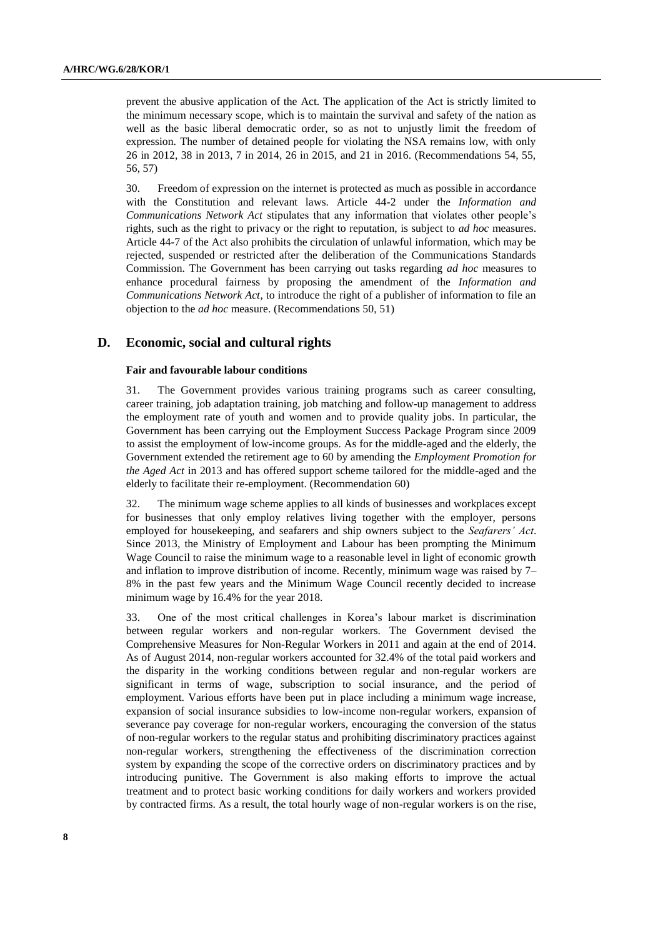prevent the abusive application of the Act. The application of the Act is strictly limited to the minimum necessary scope, which is to maintain the survival and safety of the nation as well as the basic liberal democratic order, so as not to unjustly limit the freedom of expression. The number of detained people for violating the NSA remains low, with only 26 in 2012, 38 in 2013, 7 in 2014, 26 in 2015, and 21 in 2016. (Recommendations 54, 55, 56, 57)

30. Freedom of expression on the internet is protected as much as possible in accordance with the Constitution and relevant laws. Article 44-2 under the *Information and Communications Network Act* stipulates that any information that violates other people's rights, such as the right to privacy or the right to reputation, is subject to *ad hoc* measures. Article 44-7 of the Act also prohibits the circulation of unlawful information, which may be rejected, suspended or restricted after the deliberation of the Communications Standards Commission. The Government has been carrying out tasks regarding *ad hoc* measures to enhance procedural fairness by proposing the amendment of the *Information and Communications Network Act*, to introduce the right of a publisher of information to file an objection to the *ad hoc* measure. (Recommendations 50, 51)

### **D. Economic, social and cultural rights**

### **Fair and favourable labour conditions**

31. The Government provides various training programs such as career consulting, career training, job adaptation training, job matching and follow-up management to address the employment rate of youth and women and to provide quality jobs. In particular, the Government has been carrying out the Employment Success Package Program since 2009 to assist the employment of low-income groups. As for the middle-aged and the elderly, the Government extended the retirement age to 60 by amending the *Employment Promotion for the Aged Act* in 2013 and has offered support scheme tailored for the middle-aged and the elderly to facilitate their re-employment. (Recommendation 60)

32. The minimum wage scheme applies to all kinds of businesses and workplaces except for businesses that only employ relatives living together with the employer, persons employed for housekeeping, and seafarers and ship owners subject to the *Seafarers' Act*. Since 2013, the Ministry of Employment and Labour has been prompting the Minimum Wage Council to raise the minimum wage to a reasonable level in light of economic growth and inflation to improve distribution of income. Recently, minimum wage was raised by 7– 8% in the past few years and the Minimum Wage Council recently decided to increase minimum wage by 16.4% for the year 2018.

33. One of the most critical challenges in Korea's labour market is discrimination between regular workers and non-regular workers. The Government devised the Comprehensive Measures for Non-Regular Workers in 2011 and again at the end of 2014. As of August 2014, non-regular workers accounted for 32.4% of the total paid workers and the disparity in the working conditions between regular and non-regular workers are significant in terms of wage, subscription to social insurance, and the period of employment. Various efforts have been put in place including a minimum wage increase, expansion of social insurance subsidies to low-income non-regular workers, expansion of severance pay coverage for non-regular workers, encouraging the conversion of the status of non-regular workers to the regular status and prohibiting discriminatory practices against non-regular workers, strengthening the effectiveness of the discrimination correction system by expanding the scope of the corrective orders on discriminatory practices and by introducing punitive. The Government is also making efforts to improve the actual treatment and to protect basic working conditions for daily workers and workers provided by contracted firms. As a result, the total hourly wage of non-regular workers is on the rise,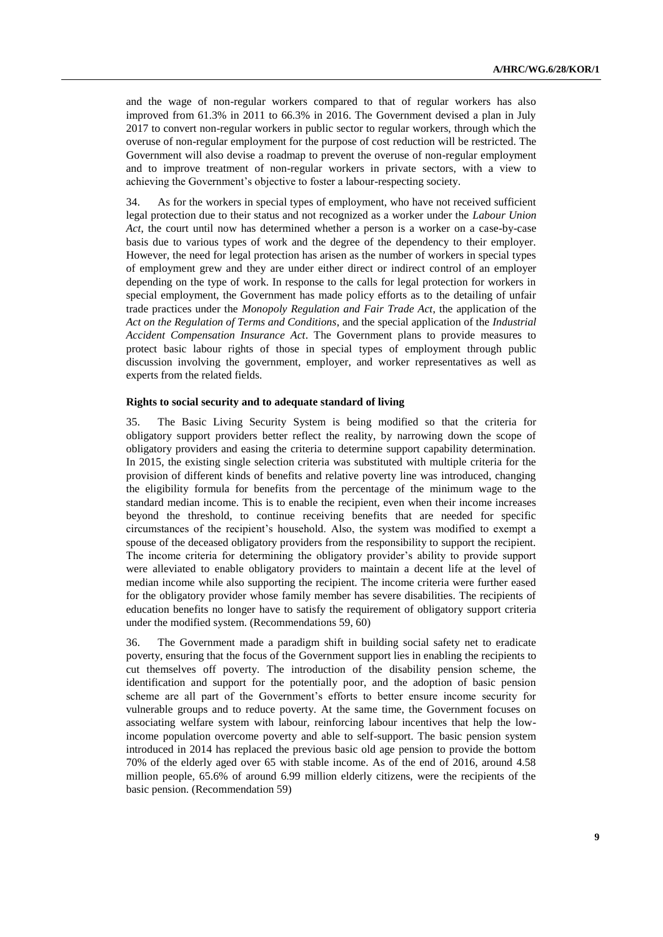and the wage of non-regular workers compared to that of regular workers has also improved from 61.3% in 2011 to 66.3% in 2016. The Government devised a plan in July 2017 to convert non-regular workers in public sector to regular workers, through which the overuse of non-regular employment for the purpose of cost reduction will be restricted. The Government will also devise a roadmap to prevent the overuse of non-regular employment and to improve treatment of non-regular workers in private sectors, with a view to achieving the Government's objective to foster a labour-respecting society.

34. As for the workers in special types of employment, who have not received sufficient legal protection due to their status and not recognized as a worker under the *Labour Union Act*, the court until now has determined whether a person is a worker on a case-by-case basis due to various types of work and the degree of the dependency to their employer. However, the need for legal protection has arisen as the number of workers in special types of employment grew and they are under either direct or indirect control of an employer depending on the type of work. In response to the calls for legal protection for workers in special employment, the Government has made policy efforts as to the detailing of unfair trade practices under the *Monopoly Regulation and Fair Trade Act*, the application of the *Act on the Regulation of Terms and Conditions*, and the special application of the *Industrial Accident Compensation Insurance Act*. The Government plans to provide measures to protect basic labour rights of those in special types of employment through public discussion involving the government, employer, and worker representatives as well as experts from the related fields.

#### **Rights to social security and to adequate standard of living**

35. The Basic Living Security System is being modified so that the criteria for obligatory support providers better reflect the reality, by narrowing down the scope of obligatory providers and easing the criteria to determine support capability determination. In 2015, the existing single selection criteria was substituted with multiple criteria for the provision of different kinds of benefits and relative poverty line was introduced, changing the eligibility formula for benefits from the percentage of the minimum wage to the standard median income. This is to enable the recipient, even when their income increases beyond the threshold, to continue receiving benefits that are needed for specific circumstances of the recipient's household. Also, the system was modified to exempt a spouse of the deceased obligatory providers from the responsibility to support the recipient. The income criteria for determining the obligatory provider's ability to provide support were alleviated to enable obligatory providers to maintain a decent life at the level of median income while also supporting the recipient. The income criteria were further eased for the obligatory provider whose family member has severe disabilities. The recipients of education benefits no longer have to satisfy the requirement of obligatory support criteria under the modified system. (Recommendations 59, 60)

36. The Government made a paradigm shift in building social safety net to eradicate poverty, ensuring that the focus of the Government support lies in enabling the recipients to cut themselves off poverty. The introduction of the disability pension scheme, the identification and support for the potentially poor, and the adoption of basic pension scheme are all part of the Government's efforts to better ensure income security for vulnerable groups and to reduce poverty. At the same time, the Government focuses on associating welfare system with labour, reinforcing labour incentives that help the lowincome population overcome poverty and able to self-support. The basic pension system introduced in 2014 has replaced the previous basic old age pension to provide the bottom 70% of the elderly aged over 65 with stable income. As of the end of 2016, around 4.58 million people, 65.6% of around 6.99 million elderly citizens, were the recipients of the basic pension. (Recommendation 59)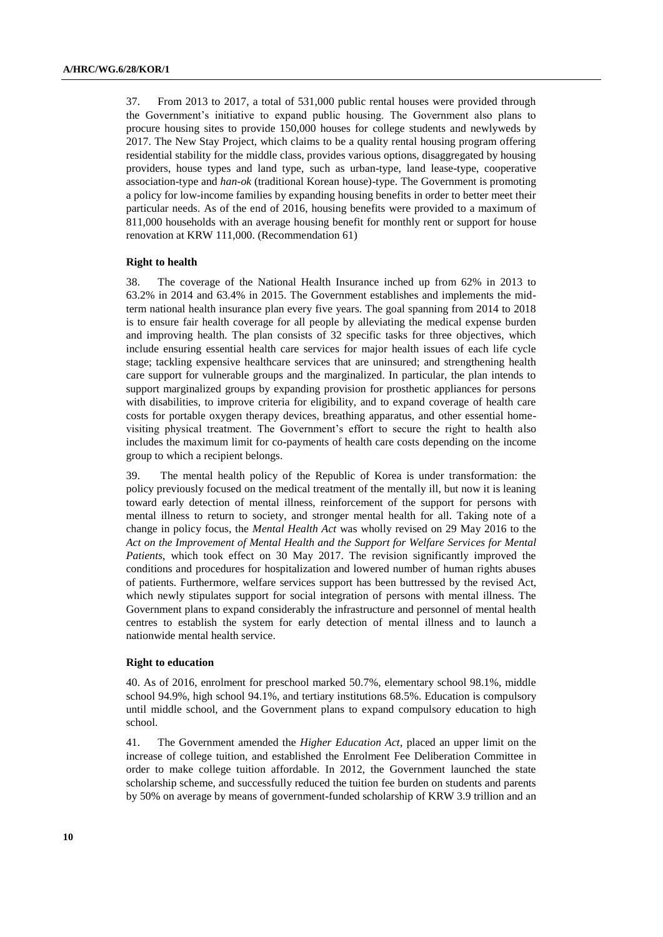37. From 2013 to 2017, a total of 531,000 public rental houses were provided through the Government's initiative to expand public housing. The Government also plans to procure housing sites to provide 150,000 houses for college students and newlyweds by 2017. The New Stay Project, which claims to be a quality rental housing program offering residential stability for the middle class, provides various options, disaggregated by housing providers, house types and land type, such as urban-type, land lease-type, cooperative association-type and *han-ok* (traditional Korean house)-type. The Government is promoting a policy for low-income families by expanding housing benefits in order to better meet their particular needs. As of the end of 2016, housing benefits were provided to a maximum of 811,000 households with an average housing benefit for monthly rent or support for house renovation at KRW 111,000. (Recommendation 61)

#### **Right to health**

38. The coverage of the National Health Insurance inched up from 62% in 2013 to 63.2% in 2014 and 63.4% in 2015. The Government establishes and implements the midterm national health insurance plan every five years. The goal spanning from 2014 to 2018 is to ensure fair health coverage for all people by alleviating the medical expense burden and improving health. The plan consists of 32 specific tasks for three objectives, which include ensuring essential health care services for major health issues of each life cycle stage; tackling expensive healthcare services that are uninsured; and strengthening health care support for vulnerable groups and the marginalized. In particular, the plan intends to support marginalized groups by expanding provision for prosthetic appliances for persons with disabilities, to improve criteria for eligibility, and to expand coverage of health care costs for portable oxygen therapy devices, breathing apparatus, and other essential homevisiting physical treatment. The Government's effort to secure the right to health also includes the maximum limit for co-payments of health care costs depending on the income group to which a recipient belongs.

39. The mental health policy of the Republic of Korea is under transformation: the policy previously focused on the medical treatment of the mentally ill, but now it is leaning toward early detection of mental illness, reinforcement of the support for persons with mental illness to return to society, and stronger mental health for all. Taking note of a change in policy focus, the *Mental Health Act* was wholly revised on 29 May 2016 to the *Act on the Improvement of Mental Health and the Support for Welfare Services for Mental Patients*, which took effect on 30 May 2017. The revision significantly improved the conditions and procedures for hospitalization and lowered number of human rights abuses of patients. Furthermore, welfare services support has been buttressed by the revised Act, which newly stipulates support for social integration of persons with mental illness. The Government plans to expand considerably the infrastructure and personnel of mental health centres to establish the system for early detection of mental illness and to launch a nationwide mental health service.

### **Right to education**

40. As of 2016, enrolment for preschool marked 50.7%, elementary school 98.1%, middle school 94.9%, high school 94.1%, and tertiary institutions 68.5%. Education is compulsory until middle school, and the Government plans to expand compulsory education to high school.

41. The Government amended the *Higher Education Act*, placed an upper limit on the increase of college tuition, and established the Enrolment Fee Deliberation Committee in order to make college tuition affordable. In 2012, the Government launched the state scholarship scheme, and successfully reduced the tuition fee burden on students and parents by 50% on average by means of government-funded scholarship of KRW 3.9 trillion and an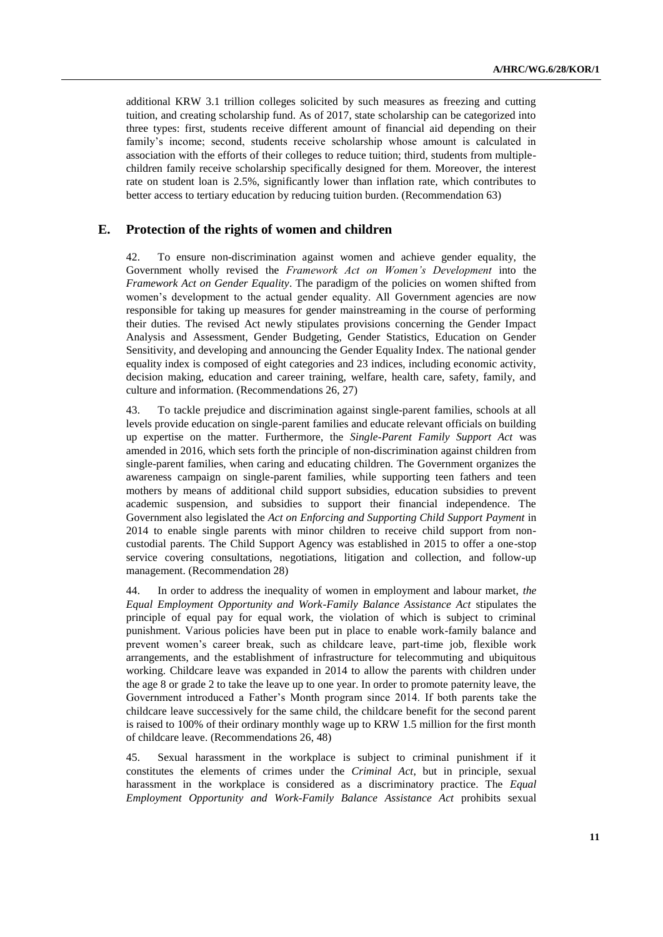additional KRW 3.1 trillion colleges solicited by such measures as freezing and cutting tuition, and creating scholarship fund. As of 2017, state scholarship can be categorized into three types: first, students receive different amount of financial aid depending on their family's income; second, students receive scholarship whose amount is calculated in association with the efforts of their colleges to reduce tuition; third, students from multiplechildren family receive scholarship specifically designed for them. Moreover, the interest rate on student loan is 2.5%, significantly lower than inflation rate, which contributes to better access to tertiary education by reducing tuition burden. (Recommendation 63)

### **E. Protection of the rights of women and children**

42. To ensure non-discrimination against women and achieve gender equality, the Government wholly revised the *Framework Act on Women's Development* into the *Framework Act on Gender Equality*. The paradigm of the policies on women shifted from women's development to the actual gender equality. All Government agencies are now responsible for taking up measures for gender mainstreaming in the course of performing their duties. The revised Act newly stipulates provisions concerning the Gender Impact Analysis and Assessment, Gender Budgeting, Gender Statistics, Education on Gender Sensitivity, and developing and announcing the Gender Equality Index. The national gender equality index is composed of eight categories and 23 indices, including economic activity, decision making, education and career training, welfare, health care, safety, family, and culture and information. (Recommendations 26, 27)

43. To tackle prejudice and discrimination against single-parent families, schools at all levels provide education on single-parent families and educate relevant officials on building up expertise on the matter. Furthermore, the *Single-Parent Family Support Act* was amended in 2016, which sets forth the principle of non-discrimination against children from single-parent families, when caring and educating children. The Government organizes the awareness campaign on single-parent families, while supporting teen fathers and teen mothers by means of additional child support subsidies, education subsidies to prevent academic suspension, and subsidies to support their financial independence. The Government also legislated the *Act on Enforcing and Supporting Child Support Payment* in 2014 to enable single parents with minor children to receive child support from noncustodial parents. The Child Support Agency was established in 2015 to offer a one-stop service covering consultations, negotiations, litigation and collection, and follow-up management. (Recommendation 28)

44. In order to address the inequality of women in employment and labour market, *the Equal Employment Opportunity and Work-Family Balance Assistance Act* stipulates the principle of equal pay for equal work, the violation of which is subject to criminal punishment. Various policies have been put in place to enable work-family balance and prevent women's career break, such as childcare leave, part-time job, flexible work arrangements, and the establishment of infrastructure for telecommuting and ubiquitous working. Childcare leave was expanded in 2014 to allow the parents with children under the age 8 or grade 2 to take the leave up to one year. In order to promote paternity leave, the Government introduced a Father's Month program since 2014. If both parents take the childcare leave successively for the same child, the childcare benefit for the second parent is raised to 100% of their ordinary monthly wage up to KRW 1.5 million for the first month of childcare leave. (Recommendations 26, 48)

45. Sexual harassment in the workplace is subject to criminal punishment if it constitutes the elements of crimes under the *Criminal Act*, but in principle, sexual harassment in the workplace is considered as a discriminatory practice. The *Equal Employment Opportunity and Work-Family Balance Assistance Act* prohibits sexual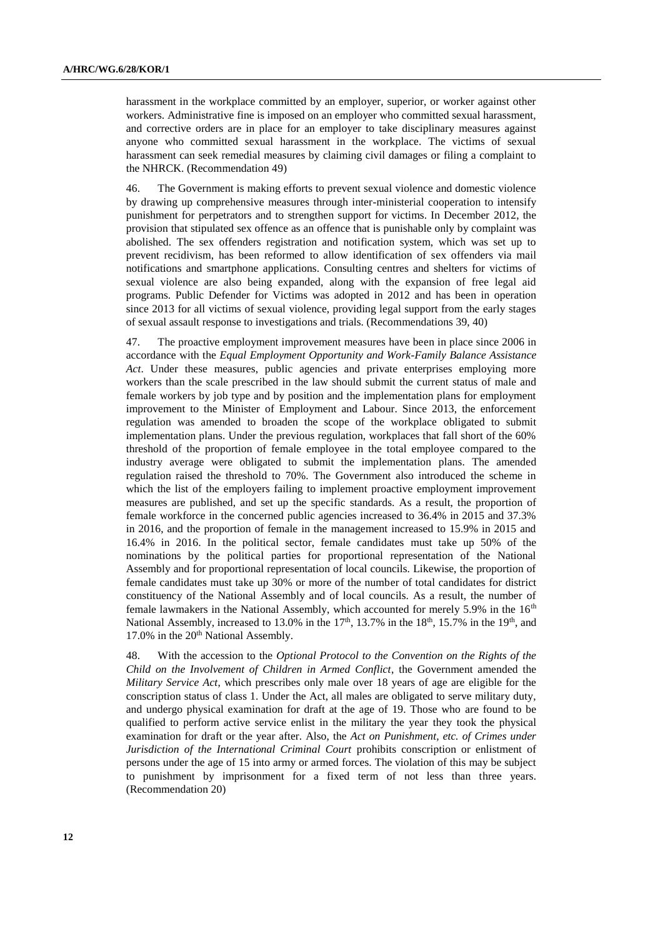harassment in the workplace committed by an employer, superior, or worker against other workers. Administrative fine is imposed on an employer who committed sexual harassment, and corrective orders are in place for an employer to take disciplinary measures against anyone who committed sexual harassment in the workplace. The victims of sexual harassment can seek remedial measures by claiming civil damages or filing a complaint to the NHRCK. (Recommendation 49)

46. The Government is making efforts to prevent sexual violence and domestic violence by drawing up comprehensive measures through inter-ministerial cooperation to intensify punishment for perpetrators and to strengthen support for victims. In December 2012, the provision that stipulated sex offence as an offence that is punishable only by complaint was abolished. The sex offenders registration and notification system, which was set up to prevent recidivism, has been reformed to allow identification of sex offenders via mail notifications and smartphone applications. Consulting centres and shelters for victims of sexual violence are also being expanded, along with the expansion of free legal aid programs. Public Defender for Victims was adopted in 2012 and has been in operation since 2013 for all victims of sexual violence, providing legal support from the early stages of sexual assault response to investigations and trials. (Recommendations 39, 40)

47. The proactive employment improvement measures have been in place since 2006 in accordance with the *Equal Employment Opportunity and Work-Family Balance Assistance Act*. Under these measures, public agencies and private enterprises employing more workers than the scale prescribed in the law should submit the current status of male and female workers by job type and by position and the implementation plans for employment improvement to the Minister of Employment and Labour. Since 2013, the enforcement regulation was amended to broaden the scope of the workplace obligated to submit implementation plans. Under the previous regulation, workplaces that fall short of the 60% threshold of the proportion of female employee in the total employee compared to the industry average were obligated to submit the implementation plans. The amended regulation raised the threshold to 70%. The Government also introduced the scheme in which the list of the employers failing to implement proactive employment improvement measures are published, and set up the specific standards. As a result, the proportion of female workforce in the concerned public agencies increased to 36.4% in 2015 and 37.3% in 2016, and the proportion of female in the management increased to 15.9% in 2015 and 16.4% in 2016. In the political sector, female candidates must take up 50% of the nominations by the political parties for proportional representation of the National Assembly and for proportional representation of local councils. Likewise, the proportion of female candidates must take up 30% or more of the number of total candidates for district constituency of the National Assembly and of local councils. As a result, the number of female lawmakers in the National Assembly, which accounted for merely 5.9% in the 16<sup>th</sup> National Assembly, increased to 13.0% in the  $17<sup>th</sup>$ , 13.7% in the 18<sup>th</sup>, 15.7% in the 19<sup>th</sup>, and 17.0% in the 20<sup>th</sup> National Assembly.

48. With the accession to the *Optional Protocol to the Convention on the Rights of the Child on the Involvement of Children in Armed Conflict*, the Government amended the *Military Service Act*, which prescribes only male over 18 years of age are eligible for the conscription status of class 1. Under the Act, all males are obligated to serve military duty, and undergo physical examination for draft at the age of 19. Those who are found to be qualified to perform active service enlist in the military the year they took the physical examination for draft or the year after. Also, the *Act on Punishment, etc. of Crimes under Jurisdiction of the International Criminal Court* prohibits conscription or enlistment of persons under the age of 15 into army or armed forces. The violation of this may be subject to punishment by imprisonment for a fixed term of not less than three years. (Recommendation 20)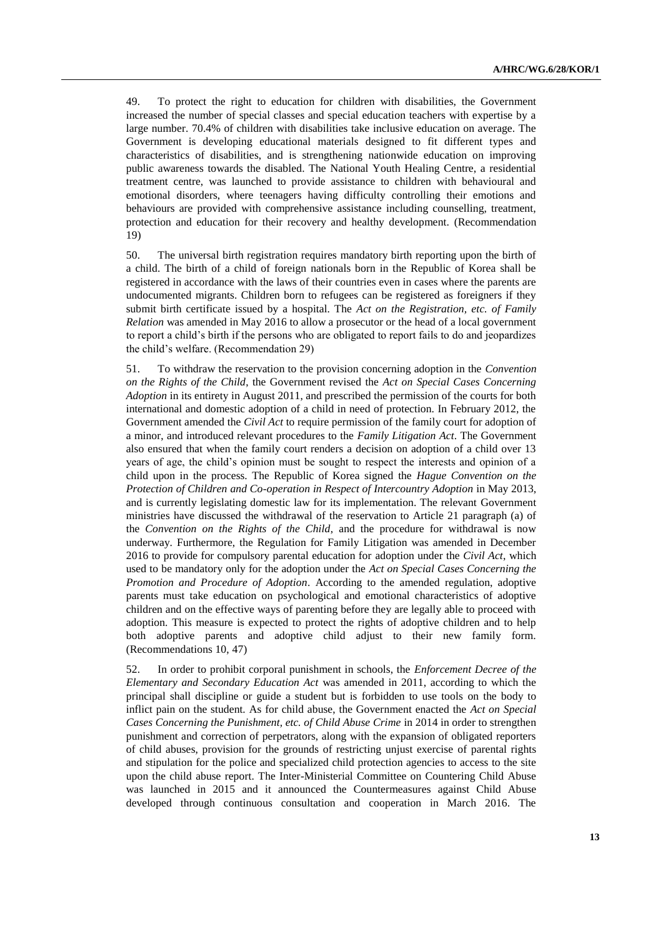49. To protect the right to education for children with disabilities, the Government increased the number of special classes and special education teachers with expertise by a large number. 70.4% of children with disabilities take inclusive education on average. The Government is developing educational materials designed to fit different types and characteristics of disabilities, and is strengthening nationwide education on improving public awareness towards the disabled. The National Youth Healing Centre, a residential treatment centre, was launched to provide assistance to children with behavioural and emotional disorders, where teenagers having difficulty controlling their emotions and behaviours are provided with comprehensive assistance including counselling, treatment, protection and education for their recovery and healthy development. (Recommendation 19)

50. The universal birth registration requires mandatory birth reporting upon the birth of a child. The birth of a child of foreign nationals born in the Republic of Korea shall be registered in accordance with the laws of their countries even in cases where the parents are undocumented migrants. Children born to refugees can be registered as foreigners if they submit birth certificate issued by a hospital. The *Act on the Registration, etc. of Family Relation* was amended in May 2016 to allow a prosecutor or the head of a local government to report a child's birth if the persons who are obligated to report fails to do and jeopardizes the child's welfare. (Recommendation 29)

51. To withdraw the reservation to the provision concerning adoption in the *Convention on the Rights of the Child*, the Government revised the *Act on Special Cases Concerning Adoption* in its entirety in August 2011, and prescribed the permission of the courts for both international and domestic adoption of a child in need of protection. In February 2012, the Government amended the *Civil Act* to require permission of the family court for adoption of a minor, and introduced relevant procedures to the *Family Litigation Act*. The Government also ensured that when the family court renders a decision on adoption of a child over 13 years of age, the child's opinion must be sought to respect the interests and opinion of a child upon in the process. The Republic of Korea signed the *Hague Convention on the Protection of Children and Co-operation in Respect of Intercountry Adoption* in May 2013, and is currently legislating domestic law for its implementation. The relevant Government ministries have discussed the withdrawal of the reservation to Article 21 paragraph (a) of the *Convention on the Rights of the Child*, and the procedure for withdrawal is now underway. Furthermore, the Regulation for Family Litigation was amended in December 2016 to provide for compulsory parental education for adoption under the *Civil Act*, which used to be mandatory only for the adoption under the *Act on Special Cases Concerning the Promotion and Procedure of Adoption*. According to the amended regulation, adoptive parents must take education on psychological and emotional characteristics of adoptive children and on the effective ways of parenting before they are legally able to proceed with adoption. This measure is expected to protect the rights of adoptive children and to help both adoptive parents and adoptive child adjust to their new family form. (Recommendations 10, 47)

52. In order to prohibit corporal punishment in schools, the *Enforcement Decree of the Elementary and Secondary Education Act* was amended in 2011, according to which the principal shall discipline or guide a student but is forbidden to use tools on the body to inflict pain on the student. As for child abuse, the Government enacted the *Act on Special Cases Concerning the Punishment, etc. of Child Abuse Crime* in 2014 in order to strengthen punishment and correction of perpetrators, along with the expansion of obligated reporters of child abuses, provision for the grounds of restricting unjust exercise of parental rights and stipulation for the police and specialized child protection agencies to access to the site upon the child abuse report. The Inter-Ministerial Committee on Countering Child Abuse was launched in 2015 and it announced the Countermeasures against Child Abuse developed through continuous consultation and cooperation in March 2016. The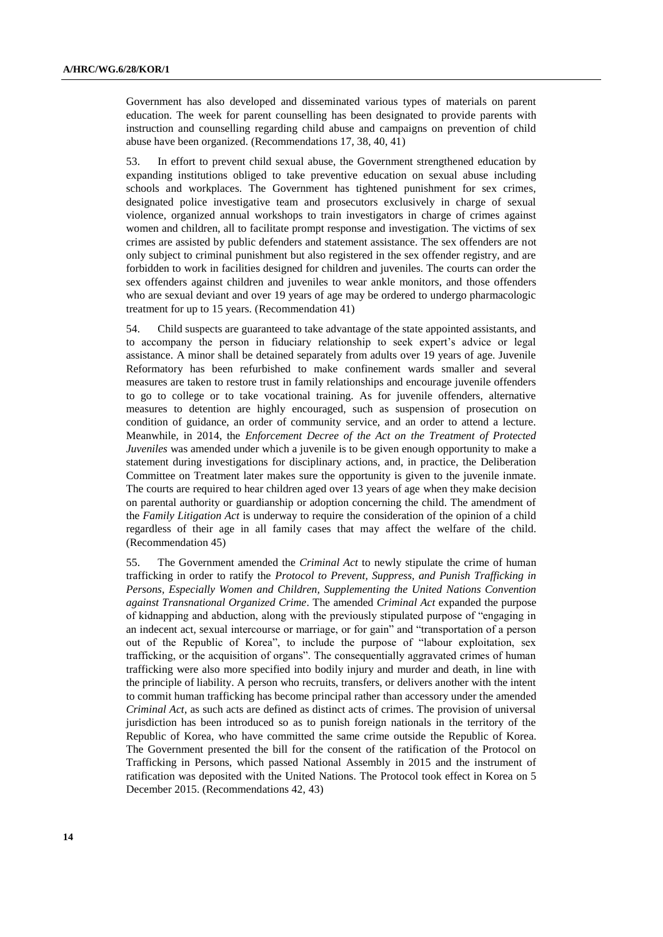Government has also developed and disseminated various types of materials on parent education. The week for parent counselling has been designated to provide parents with instruction and counselling regarding child abuse and campaigns on prevention of child abuse have been organized. (Recommendations 17, 38, 40, 41)

53. In effort to prevent child sexual abuse, the Government strengthened education by expanding institutions obliged to take preventive education on sexual abuse including schools and workplaces. The Government has tightened punishment for sex crimes, designated police investigative team and prosecutors exclusively in charge of sexual violence, organized annual workshops to train investigators in charge of crimes against women and children, all to facilitate prompt response and investigation. The victims of sex crimes are assisted by public defenders and statement assistance. The sex offenders are not only subject to criminal punishment but also registered in the sex offender registry, and are forbidden to work in facilities designed for children and juveniles. The courts can order the sex offenders against children and juveniles to wear ankle monitors, and those offenders who are sexual deviant and over 19 years of age may be ordered to undergo pharmacologic treatment for up to 15 years. (Recommendation 41)

54. Child suspects are guaranteed to take advantage of the state appointed assistants, and to accompany the person in fiduciary relationship to seek expert's advice or legal assistance. A minor shall be detained separately from adults over 19 years of age. Juvenile Reformatory has been refurbished to make confinement wards smaller and several measures are taken to restore trust in family relationships and encourage juvenile offenders to go to college or to take vocational training. As for juvenile offenders, alternative measures to detention are highly encouraged, such as suspension of prosecution on condition of guidance, an order of community service, and an order to attend a lecture. Meanwhile, in 2014, the *Enforcement Decree of the Act on the Treatment of Protected Juveniles* was amended under which a juvenile is to be given enough opportunity to make a statement during investigations for disciplinary actions, and, in practice, the Deliberation Committee on Treatment later makes sure the opportunity is given to the juvenile inmate. The courts are required to hear children aged over 13 years of age when they make decision on parental authority or guardianship or adoption concerning the child. The amendment of the *Family Litigation Act* is underway to require the consideration of the opinion of a child regardless of their age in all family cases that may affect the welfare of the child. (Recommendation 45)

55. The Government amended the *Criminal Act* to newly stipulate the crime of human trafficking in order to ratify the *Protocol to Prevent, Suppress, and Punish Trafficking in Persons, Especially Women and Children, Supplementing the United Nations Convention against Transnational Organized Crime*. The amended *Criminal Act* expanded the purpose of kidnapping and abduction, along with the previously stipulated purpose of "engaging in an indecent act, sexual intercourse or marriage, or for gain" and "transportation of a person out of the Republic of Korea", to include the purpose of "labour exploitation, sex trafficking, or the acquisition of organs". The consequentially aggravated crimes of human trafficking were also more specified into bodily injury and murder and death, in line with the principle of liability. A person who recruits, transfers, or delivers another with the intent to commit human trafficking has become principal rather than accessory under the amended *Criminal Act*, as such acts are defined as distinct acts of crimes. The provision of universal jurisdiction has been introduced so as to punish foreign nationals in the territory of the Republic of Korea, who have committed the same crime outside the Republic of Korea. The Government presented the bill for the consent of the ratification of the Protocol on Trafficking in Persons, which passed National Assembly in 2015 and the instrument of ratification was deposited with the United Nations. The Protocol took effect in Korea on 5 December 2015. (Recommendations 42, 43)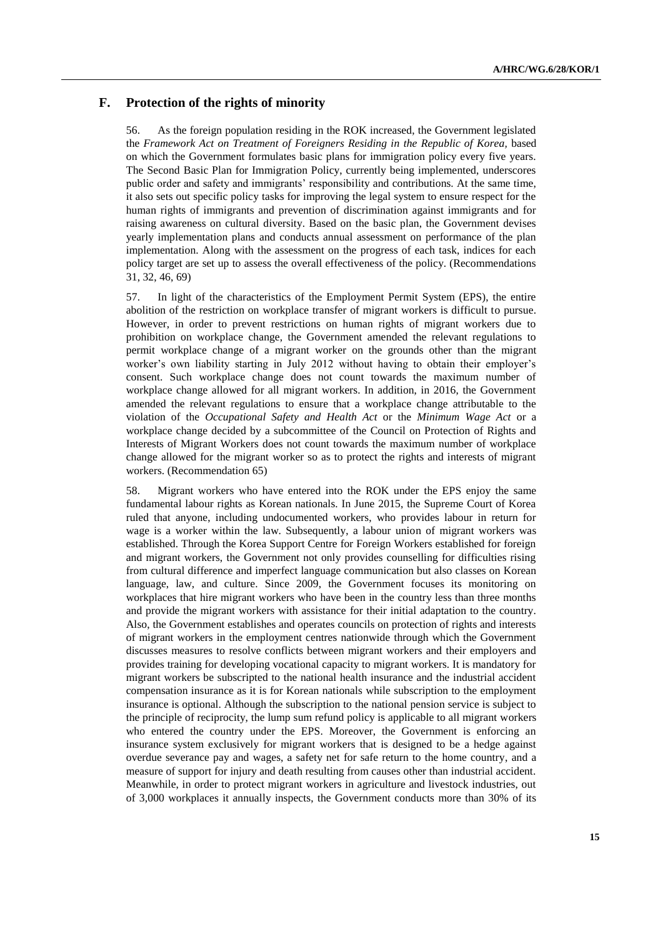### **F. Protection of the rights of minority**

56. As the foreign population residing in the ROK increased, the Government legislated the *Framework Act on Treatment of Foreigners Residing in the Republic of Korea,* based on which the Government formulates basic plans for immigration policy every five years. The Second Basic Plan for Immigration Policy, currently being implemented, underscores public order and safety and immigrants' responsibility and contributions. At the same time, it also sets out specific policy tasks for improving the legal system to ensure respect for the human rights of immigrants and prevention of discrimination against immigrants and for raising awareness on cultural diversity. Based on the basic plan, the Government devises yearly implementation plans and conducts annual assessment on performance of the plan implementation. Along with the assessment on the progress of each task, indices for each policy target are set up to assess the overall effectiveness of the policy. (Recommendations 31, 32, 46, 69)

57. In light of the characteristics of the Employment Permit System (EPS), the entire abolition of the restriction on workplace transfer of migrant workers is difficult to pursue. However, in order to prevent restrictions on human rights of migrant workers due to prohibition on workplace change, the Government amended the relevant regulations to permit workplace change of a migrant worker on the grounds other than the migrant worker's own liability starting in July 2012 without having to obtain their employer's consent. Such workplace change does not count towards the maximum number of workplace change allowed for all migrant workers. In addition, in 2016, the Government amended the relevant regulations to ensure that a workplace change attributable to the violation of the *Occupational Safety and Health Act* or the *Minimum Wage Act* or a workplace change decided by a subcommittee of the Council on Protection of Rights and Interests of Migrant Workers does not count towards the maximum number of workplace change allowed for the migrant worker so as to protect the rights and interests of migrant workers. (Recommendation 65)

58. Migrant workers who have entered into the ROK under the EPS enjoy the same fundamental labour rights as Korean nationals. In June 2015, the Supreme Court of Korea ruled that anyone, including undocumented workers, who provides labour in return for wage is a worker within the law. Subsequently, a labour union of migrant workers was established. Through the Korea Support Centre for Foreign Workers established for foreign and migrant workers, the Government not only provides counselling for difficulties rising from cultural difference and imperfect language communication but also classes on Korean language, law, and culture. Since 2009, the Government focuses its monitoring on workplaces that hire migrant workers who have been in the country less than three months and provide the migrant workers with assistance for their initial adaptation to the country. Also, the Government establishes and operates councils on protection of rights and interests of migrant workers in the employment centres nationwide through which the Government discusses measures to resolve conflicts between migrant workers and their employers and provides training for developing vocational capacity to migrant workers. It is mandatory for migrant workers be subscripted to the national health insurance and the industrial accident compensation insurance as it is for Korean nationals while subscription to the employment insurance is optional. Although the subscription to the national pension service is subject to the principle of reciprocity, the lump sum refund policy is applicable to all migrant workers who entered the country under the EPS. Moreover, the Government is enforcing an insurance system exclusively for migrant workers that is designed to be a hedge against overdue severance pay and wages, a safety net for safe return to the home country, and a measure of support for injury and death resulting from causes other than industrial accident. Meanwhile, in order to protect migrant workers in agriculture and livestock industries, out of 3,000 workplaces it annually inspects, the Government conducts more than 30% of its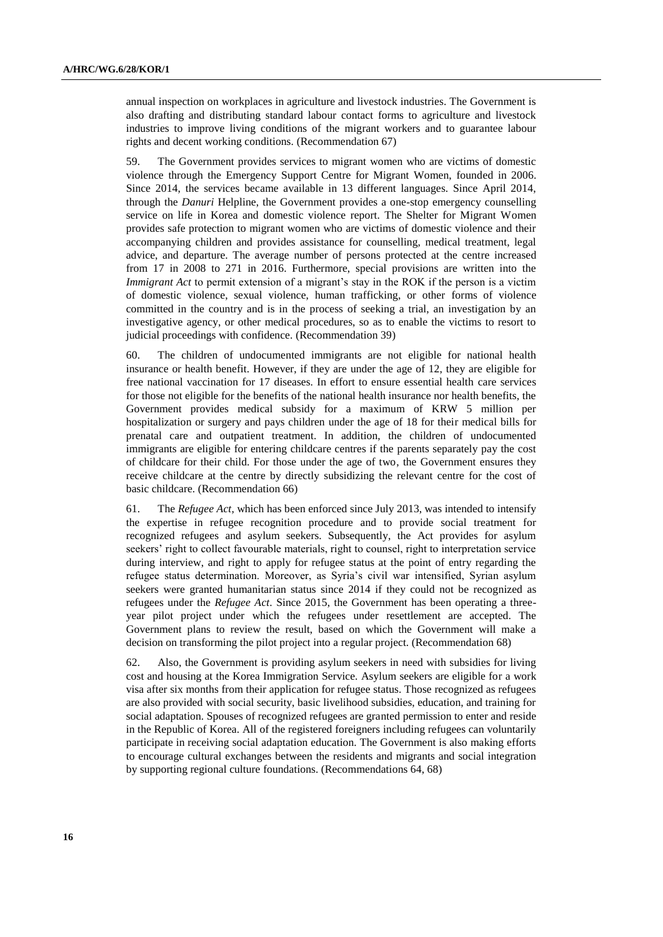annual inspection on workplaces in agriculture and livestock industries. The Government is also drafting and distributing standard labour contact forms to agriculture and livestock industries to improve living conditions of the migrant workers and to guarantee labour rights and decent working conditions. (Recommendation 67)

59. The Government provides services to migrant women who are victims of domestic violence through the Emergency Support Centre for Migrant Women, founded in 2006. Since 2014, the services became available in 13 different languages. Since April 2014, through the *Danuri* Helpline, the Government provides a one-stop emergency counselling service on life in Korea and domestic violence report. The Shelter for Migrant Women provides safe protection to migrant women who are victims of domestic violence and their accompanying children and provides assistance for counselling, medical treatment, legal advice, and departure. The average number of persons protected at the centre increased from 17 in 2008 to 271 in 2016. Furthermore, special provisions are written into the *Immigrant Act* to permit extension of a migrant's stay in the ROK if the person is a victim of domestic violence, sexual violence, human trafficking, or other forms of violence committed in the country and is in the process of seeking a trial, an investigation by an investigative agency, or other medical procedures, so as to enable the victims to resort to judicial proceedings with confidence. (Recommendation 39)

60. The children of undocumented immigrants are not eligible for national health insurance or health benefit. However, if they are under the age of 12, they are eligible for free national vaccination for 17 diseases. In effort to ensure essential health care services for those not eligible for the benefits of the national health insurance nor health benefits, the Government provides medical subsidy for a maximum of KRW 5 million per hospitalization or surgery and pays children under the age of 18 for their medical bills for prenatal care and outpatient treatment. In addition, the children of undocumented immigrants are eligible for entering childcare centres if the parents separately pay the cost of childcare for their child. For those under the age of two, the Government ensures they receive childcare at the centre by directly subsidizing the relevant centre for the cost of basic childcare. (Recommendation 66)

61. The *Refugee Act*, which has been enforced since July 2013, was intended to intensify the expertise in refugee recognition procedure and to provide social treatment for recognized refugees and asylum seekers. Subsequently, the Act provides for asylum seekers' right to collect favourable materials, right to counsel, right to interpretation service during interview, and right to apply for refugee status at the point of entry regarding the refugee status determination. Moreover, as Syria's civil war intensified, Syrian asylum seekers were granted humanitarian status since 2014 if they could not be recognized as refugees under the *Refugee Act*. Since 2015, the Government has been operating a threeyear pilot project under which the refugees under resettlement are accepted. The Government plans to review the result, based on which the Government will make a decision on transforming the pilot project into a regular project. (Recommendation 68)

62. Also, the Government is providing asylum seekers in need with subsidies for living cost and housing at the Korea Immigration Service. Asylum seekers are eligible for a work visa after six months from their application for refugee status. Those recognized as refugees are also provided with social security, basic livelihood subsidies, education, and training for social adaptation. Spouses of recognized refugees are granted permission to enter and reside in the Republic of Korea. All of the registered foreigners including refugees can voluntarily participate in receiving social adaptation education. The Government is also making efforts to encourage cultural exchanges between the residents and migrants and social integration by supporting regional culture foundations. (Recommendations 64, 68)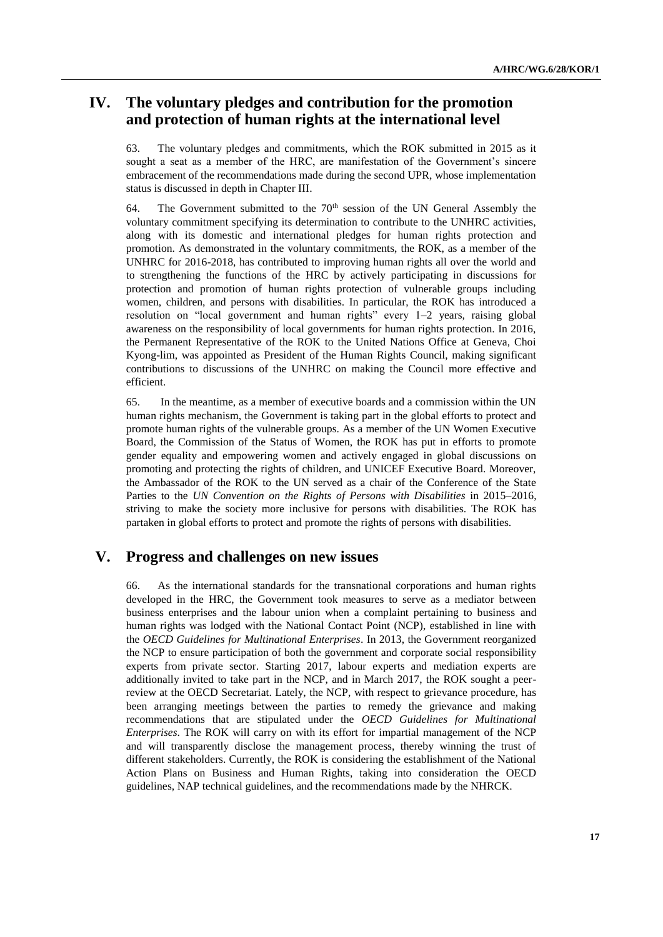# **IV. The voluntary pledges and contribution for the promotion and protection of human rights at the international level**

63. The voluntary pledges and commitments, which the ROK submitted in 2015 as it sought a seat as a member of the HRC, are manifestation of the Government's sincere embracement of the recommendations made during the second UPR, whose implementation status is discussed in depth in Chapter III.

64. The Government submitted to the  $70<sup>th</sup>$  session of the UN General Assembly the voluntary commitment specifying its determination to contribute to the UNHRC activities, along with its domestic and international pledges for human rights protection and promotion. As demonstrated in the voluntary commitments, the ROK, as a member of the UNHRC for 2016-2018, has contributed to improving human rights all over the world and to strengthening the functions of the HRC by actively participating in discussions for protection and promotion of human rights protection of vulnerable groups including women, children, and persons with disabilities. In particular, the ROK has introduced a resolution on "local government and human rights" every 1–2 years, raising global awareness on the responsibility of local governments for human rights protection. In 2016, the Permanent Representative of the ROK to the United Nations Office at Geneva, Choi Kyong-lim, was appointed as President of the Human Rights Council, making significant contributions to discussions of the UNHRC on making the Council more effective and efficient.

65. In the meantime, as a member of executive boards and a commission within the UN human rights mechanism, the Government is taking part in the global efforts to protect and promote human rights of the vulnerable groups. As a member of the UN Women Executive Board, the Commission of the Status of Women, the ROK has put in efforts to promote gender equality and empowering women and actively engaged in global discussions on promoting and protecting the rights of children, and UNICEF Executive Board. Moreover, the Ambassador of the ROK to the UN served as a chair of the Conference of the State Parties to the *UN Convention on the Rights of Persons with Disabilities* in 2015–2016, striving to make the society more inclusive for persons with disabilities. The ROK has partaken in global efforts to protect and promote the rights of persons with disabilities.

## **V. Progress and challenges on new issues**

66. As the international standards for the transnational corporations and human rights developed in the HRC, the Government took measures to serve as a mediator between business enterprises and the labour union when a complaint pertaining to business and human rights was lodged with the National Contact Point (NCP), established in line with the *OECD Guidelines for Multinational Enterprises*. In 2013, the Government reorganized the NCP to ensure participation of both the government and corporate social responsibility experts from private sector. Starting 2017, labour experts and mediation experts are additionally invited to take part in the NCP, and in March 2017, the ROK sought a peerreview at the OECD Secretariat. Lately, the NCP, with respect to grievance procedure, has been arranging meetings between the parties to remedy the grievance and making recommendations that are stipulated under the *OECD Guidelines for Multinational Enterprises*. The ROK will carry on with its effort for impartial management of the NCP and will transparently disclose the management process, thereby winning the trust of different stakeholders. Currently, the ROK is considering the establishment of the National Action Plans on Business and Human Rights, taking into consideration the OECD guidelines, NAP technical guidelines, and the recommendations made by the NHRCK.